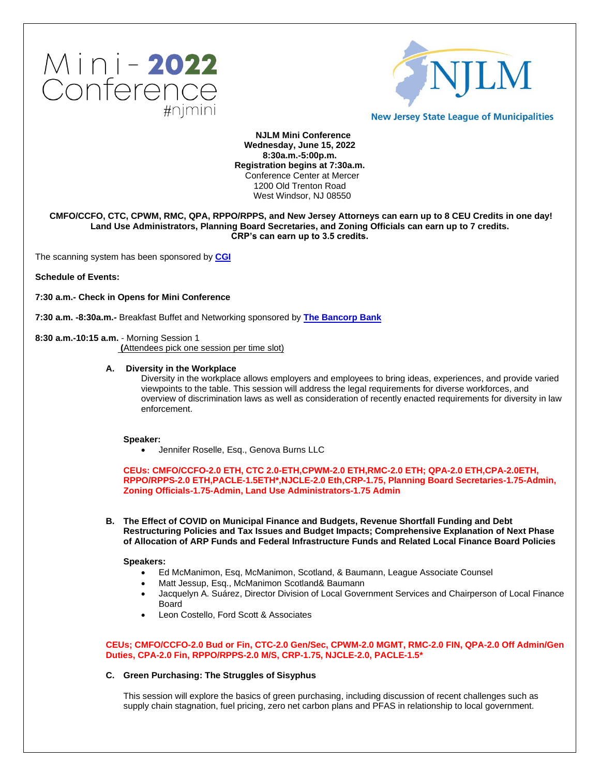



**New Jersey State League of Municipalities** 

**NJLM Mini Conference Wednesday, June 15, 2022 8:30a.m.-5:00p.m. Registration begins at 7:30a.m.** Conference Center at Mercer 1200 Old Trenton Road West Windsor, NJ 08550

# **CMFO/CCFO, CTC, CPWM, RMC, QPA, RPPO/RPPS, and New Jersey Attorneys can earn up to 8 CEU Credits in one day! Land Use Administrators, Planning Board Secretaries, and Zoning Officials can earn up to 7 credits. CRP's can earn up to 3.5 credits.**

The scanning system has been sponsored by **[CGI](https://www.cgi.com/en)**

**Schedule of Events:**

**7:30 a.m.- Check in Opens for Mini Conference** 

**7:30 a.m. -8:30a.m.-** Breakfast Buffet and Networking sponsored by **[The Bancorp Bank](https://leasing.thebancorp.com/)**

# **8:30 a.m.-10:15 a.m.** - Morning Session 1

 **(**Attendees pick one session per time slot)

### **A. Diversity in the Workplace**

Diversity in the workplace allows employers and employees to bring ideas, experiences, and provide varied viewpoints to the table. This session will address the legal requirements for diverse workforces, and overview of discrimination laws as well as consideration of recently enacted requirements for diversity in law enforcement.

### **Speaker:**

• Jennifer Roselle, Esq., Genova Burns LLC

**CEUs: CMFO/CCFO-2.0 ETH, CTC 2.0-ETH,CPWM-2.0 ETH,RMC-2.0 ETH; QPA-2.0 ETH,CPA-2.0ETH, RPPO/RPPS-2.0 ETH,PACLE-1.5ETH\*,NJCLE-2.0 Eth,CRP-1.75, Planning Board Secretaries-1.75-Admin, Zoning Officials-1.75-Admin, Land Use Administrators-1.75 Admin**

**B. The Effect of COVID on Municipal Finance and Budgets, Revenue Shortfall Funding and Debt Restructuring Policies and Tax Issues and Budget Impacts; Comprehensive Explanation of Next Phase of Allocation of ARP Funds and Federal Infrastructure Funds and Related Local Finance Board Policies** 

**Speakers:**

- Ed McManimon, Esq, McManimon, Scotland, & Baumann, League Associate Counsel
- Matt Jessup, Esq., McManimon Scotland& Baumann
- Jacquelyn A. Suárez, Director Division of Local Government Services and Chairperson of Local Finance Board
- Leon Costello, Ford Scott & Associates

**CEUs; CMFO/CCFO-2.0 Bud or Fin, CTC-2.0 Gen/Sec, CPWM-2.0 MGMT, RMC-2.0 FIN, QPA-2.0 Off Admin/Gen Duties, CPA-2.0 Fin, RPPO/RPPS-2.0 M/S, CRP-1.75, NJCLE-2.0, PACLE-1.5\***

# **C. Green Purchasing: The Struggles of Sisyphus**

This session will explore the basics of green purchasing, including discussion of recent challenges such as supply chain stagnation, fuel pricing, zero net carbon plans and PFAS in relationship to local government.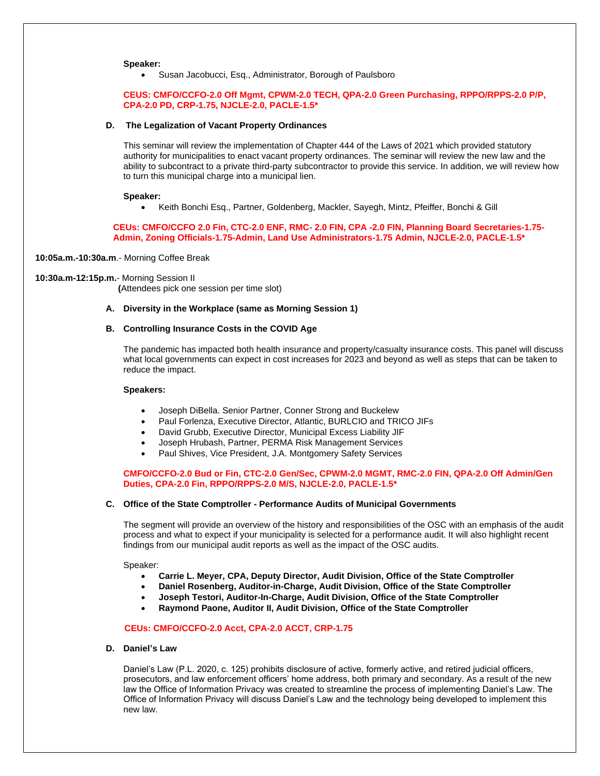#### **Speaker:**

• Susan Jacobucci, Esq., Administrator, Borough of Paulsboro

#### **CEUS: CMFO/CCFO-2.0 Off Mgmt, CPWM-2.0 TECH, QPA-2.0 Green Purchasing, RPPO/RPPS-2.0 P/P, CPA-2.0 PD, CRP-1.75, NJCLE-2.0, PACLE-1.5\***

### **D. The Legalization of Vacant Property Ordinances**

This seminar will review the implementation of Chapter 444 of the Laws of 2021 which provided statutory authority for municipalities to enact vacant property ordinances. The seminar will review the new law and the ability to subcontract to a private third-party subcontractor to provide this service. In addition, we will review how to turn this municipal charge into a municipal lien.

#### **Speaker:**

• Keith Bonchi Esq., Partner, Goldenberg, Mackler, Sayegh, Mintz, Pfeiffer, Bonchi & Gill

**CEUs: CMFO/CCFO 2.0 Fin, CTC-2.0 ENF, RMC- 2.0 FIN, CPA -2.0 FIN, Planning Board Secretaries-1.75- Admin, Zoning Officials-1.75-Admin, Land Use Administrators-1.75 Admin, NJCLE-2.0, PACLE-1.5\***

**10:05a.m.-10:30a.m**.- Morning Coffee Break

#### **10:30a.m-12:15p.m.**- Morning Session II

 **(**Attendees pick one session per time slot)

**A. Diversity in the Workplace (same as Morning Session 1)**

# **B. Controlling Insurance Costs in the COVID Age**

The pandemic has impacted both health insurance and property/casualty insurance costs. This panel will discuss what local governments can expect in cost increases for 2023 and beyond as well as steps that can be taken to reduce the impact.

#### **Speakers:**

- Joseph DiBella. Senior Partner, Conner Strong and Buckelew
- Paul Forlenza, Executive Director, Atlantic, BURLCIO and TRICO JIFs
- David Grubb, Executive Director, Municipal Excess Liability JIF
- Joseph Hrubash, Partner, PERMA Risk Management Services
- Paul Shives, Vice President, J.A. Montgomery Safety Services

# **CMFO/CCFO-2.0 Bud or Fin, CTC-2.0 Gen/Sec, CPWM-2.0 MGMT, RMC-2.0 FIN, QPA-2.0 Off Admin/Gen Duties, CPA-2.0 Fin, RPPO/RPPS-2.0 M/S, NJCLE-2.0, PACLE-1.5\***

### **C. Office of the State Comptroller - Performance Audits of Municipal Governments**

The segment will provide an overview of the history and responsibilities of the OSC with an emphasis of the audit process and what to expect if your municipality is selected for a performance audit. It will also highlight recent findings from our municipal audit reports as well as the impact of the OSC audits.

Speaker:

- **Carrie L. Meyer, CPA, Deputy Director, Audit Division, Office of the State Comptroller**
- **Daniel Rosenberg, Auditor-in-Charge, Audit Division, Office of the State Comptroller**
- **Joseph Testori, Auditor-In-Charge, Audit Division, Office of the State Comptroller**
- **Raymond Paone, Auditor II, Audit Division, Office of the State Comptroller**

### **CEUs: CMFO/CCFO-2.0 Acct, CPA-2.0 ACCT, CRP-1.75**

# **D. Daniel's Law**

Daniel's Law (P.L. 2020, c. 125) prohibits disclosure of active, formerly active, and retired judicial officers, prosecutors, and law enforcement officers' home address, both primary and secondary. As a result of the new law the Office of Information Privacy was created to streamline the process of implementing Daniel's Law. The Office of Information Privacy will discuss Daniel's Law and the technology being developed to implement this new law.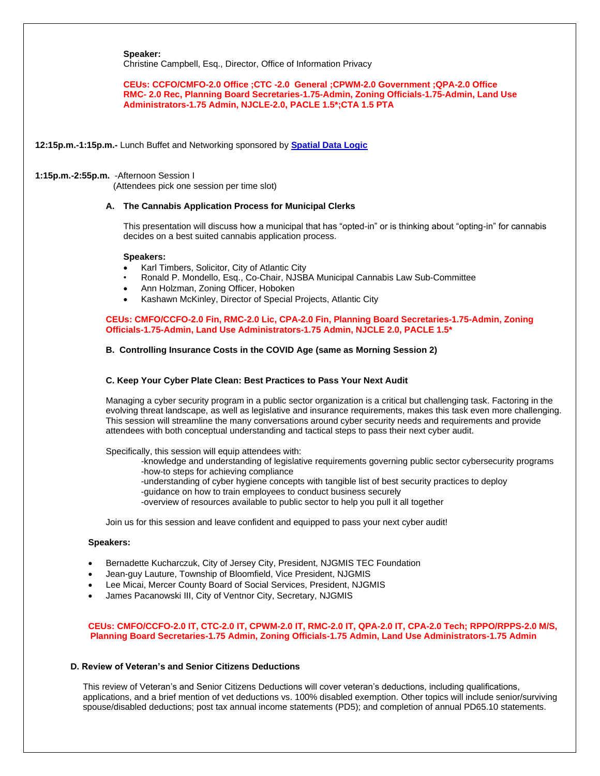**Speaker:**

Christine Campbell, Esq., Director, Office of Information Privacy

**CEUs: CCFO/CMFO-2.0 Office ;CTC -2.0 General ;CPWM-2.0 Government ;QPA-2.0 Office RMC- 2.0 Rec, Planning Board Secretaries-1.75-Admin, Zoning Officials-1.75-Admin, Land Use Administrators-1.75 Admin, NJCLE-2.0, PACLE 1.5\*;CTA 1.5 PTA**

**12:15p.m.-1:15p.m.-** Lunch Buffet and Networking sponsored by **[Spatial Data Logic](https://spatialdatalogic.com/)**

# **1:15p.m.-2:55p.m.** -Afternoon Session I

(Attendees pick one session per time slot)

# **A. The Cannabis Application Process for Municipal Clerks**

This presentation will discuss how a municipal that has "opted-in" or is thinking about "opting-in" for cannabis decides on a best suited cannabis application process.

### **Speakers:**

- Karl Timbers, Solicitor, City of Atlantic City
- Ronald P. Mondello, Esq., Co-Chair, NJSBA Municipal Cannabis Law Sub-Committee
- Ann Holzman, Zoning Officer, Hoboken
- Kashawn McKinley, Director of Special Projects, Atlantic City

# **CEUs: CMFO/CCFO-2.0 Fin, RMC-2.0 Lic, CPA-2.0 Fin, Planning Board Secretaries-1.75-Admin, Zoning Officials-1.75-Admin, Land Use Administrators-1.75 Admin, NJCLE 2.0, PACLE 1.5\***

# **B. Controlling Insurance Costs in the COVID Age (same as Morning Session 2)**

# **C. Keep Your Cyber Plate Clean: Best Practices to Pass Your Next Audit**

Managing a cyber security program in a public sector organization is a critical but challenging task. Factoring in the evolving threat landscape, as well as legislative and insurance requirements, makes this task even more challenging. This session will streamline the many conversations around cyber security needs and requirements and provide attendees with both conceptual understanding and tactical steps to pass their next cyber audit.

Specifically, this session will equip attendees with:

- -knowledge and understanding of legislative requirements governing public sector cybersecurity programs -how-to steps for achieving compliance
- 
- -understanding of cyber hygiene concepts with tangible list of best security practices to deploy
- -guidance on how to train employees to conduct business securely
- -overview of resources available to public sector to help you pull it all together

Join us for this session and leave confident and equipped to pass your next cyber audit!

### **Speakers:**

- Bernadette Kucharczuk, City of Jersey City, President, NJGMIS TEC Foundation
- Jean-guy Lauture, Township of Bloomfield, Vice President, NJGMIS
- Lee Micai, Mercer County Board of Social Services, President, NJGMIS
- James Pacanowski III, City of Ventnor City, Secretary, NJGMIS

# **CEUs: CMFO/CCFO-2.0 IT, CTC-2.0 IT, CPWM-2.0 IT, RMC-2.0 IT, QPA-2.0 IT, CPA-2.0 Tech; RPPO/RPPS-2.0 M/S, Planning Board Secretaries-1.75 Admin, Zoning Officials-1.75 Admin, Land Use Administrators-1.75 Admin**

# **D. Review of Veteran's and Senior Citizens Deductions**

 This review of Veteran's and Senior Citizens Deductions will cover veteran's deductions, including qualifications, applications, and a brief mention of vet deductions vs. 100% disabled exemption. Other topics will include senior/surviving spouse/disabled deductions; post tax annual income statements (PD5); and completion of annual PD65.10 statements.